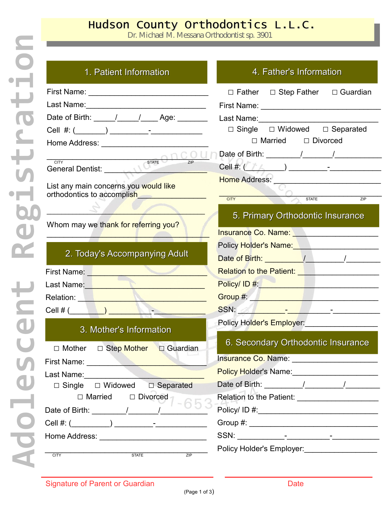## Hudson County Orthodontics L.L.C.

Dr. Michael M. Messana Orthodontist sp. 3901

| 1. Patient Information                                                                                                                                                                                                              | 4. Father's Information                                                                                                                                                                                                        |
|-------------------------------------------------------------------------------------------------------------------------------------------------------------------------------------------------------------------------------------|--------------------------------------------------------------------------------------------------------------------------------------------------------------------------------------------------------------------------------|
|                                                                                                                                                                                                                                     | $\Box$ Father $\Box$ Step Father $\Box$ Guardian                                                                                                                                                                               |
|                                                                                                                                                                                                                                     |                                                                                                                                                                                                                                |
| Date of Birth: _____/_____/______Age: _______                                                                                                                                                                                       |                                                                                                                                                                                                                                |
|                                                                                                                                                                                                                                     | $\Box$ Single $\Box$ Widowed $\Box$ Separated                                                                                                                                                                                  |
|                                                                                                                                                                                                                                     | $\Box$ Married $\Box$ Divorced                                                                                                                                                                                                 |
|                                                                                                                                                                                                                                     |                                                                                                                                                                                                                                |
|                                                                                                                                                                                                                                     |                                                                                                                                                                                                                                |
| List any main concerns you would like<br>orthodontics to accomplish                                                                                                                                                                 | Home Address: ___________________________<br>STATE<br><b>CITY</b><br>ZIP                                                                                                                                                       |
| Whom may we thank for referring you?                                                                                                                                                                                                | 5. Primary Orthodontic Insurance<br>Insurance Co. Name: Name: Name: Name (1997)                                                                                                                                                |
|                                                                                                                                                                                                                                     | Policy Holder's Name: Name: Name: Name: Name: Name: Name: Name: Name: Name: Name: Name: Name: Name: Name: Name: Name: Name: Name: Name: Name: Name: Name: Name: Name: Name: Name: Name: Name: Name: Name: Name: Name: Name: Na |
| 2. Today's Accompanying Adult                                                                                                                                                                                                       |                                                                                                                                                                                                                                |
| First Name: <u>Name:</u> Name: Name and Name and Name and Name and Name and Name and Name and Name and Name and Name and Name and Name and Name and Name and Name and Name and Name and Name and Name and Name and Name and Name an | Relation to the Patient: <b>Network Relation to the Patient:</b> 1999                                                                                                                                                          |
| Last Name: Name and Name and Name and Name and Name and Name and Name and Name and Name and Name and Name and N                                                                                                                     |                                                                                                                                                                                                                                |
| Relation: New York New York 1999                                                                                                                                                                                                    | Group #: All and a state of the state of the state of the state of the state of the state of the state of the                                                                                                                  |
| Cell # $($                                                                                                                                                                                                                          |                                                                                                                                                                                                                                |
| 3. Mother's Information                                                                                                                                                                                                             | Policy Holder's Employer:                                                                                                                                                                                                      |
| □ Step Mother<br>$\Box$ Guardian<br>$\Box$ Mother                                                                                                                                                                                   | 6. Secondary Orthodontic Insurance                                                                                                                                                                                             |
| First Name:                                                                                                                                                                                                                         |                                                                                                                                                                                                                                |
| Last Name: Name                                                                                                                                                                                                                     | Policy Holder's Name: ________________________                                                                                                                                                                                 |
| □ Separated<br>$\Box$ Single $\Box$ Widowed                                                                                                                                                                                         |                                                                                                                                                                                                                                |
| $\Box$ Married<br>$\Box$ Divorced                                                                                                                                                                                                   | Relation to the Patient: _____________________                                                                                                                                                                                 |
|                                                                                                                                                                                                                                     |                                                                                                                                                                                                                                |
|                                                                                                                                                                                                                                     |                                                                                                                                                                                                                                |
|                                                                                                                                                                                                                                     |                                                                                                                                                                                                                                |
| <b>STATE</b><br>ZIP<br><b>CITY</b>                                                                                                                                                                                                  | Policy Holder's Employer:<br><u> </u>                                                                                                                                                                                          |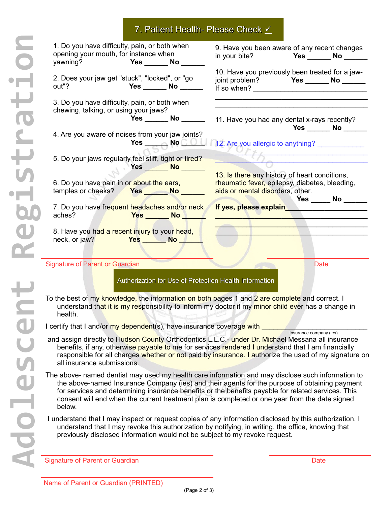## 7. Patient Health- Please Check  $\angle$

| 1. Do you have difficulty, pain, or both when<br>opening your mouth, for instance when<br>yawning?<br><b>Particle Street Pressure Pressure Pressure Pressure Pressure Pressure Pressure Pressure Pressure Pre</b> | 9. Have you been aware of any recent changes<br>in your bite? Yes _______ No ______                                                                         |
|-------------------------------------------------------------------------------------------------------------------------------------------------------------------------------------------------------------------|-------------------------------------------------------------------------------------------------------------------------------------------------------------|
| 2. Does your jaw get "stuck", "locked", or "go<br>out"?<br>Yes No                                                                                                                                                 | 10. Have you previously been treated for a jaw-<br>joint problem? Yes ________ No _______<br>If so when?                                                    |
| 3. Do you have difficulty, pain, or both when<br>chewing, talking, or using your jaws?<br>Yes ________ No _______                                                                                                 | 11. Have you had any dental x-rays recently?<br>Yes No                                                                                                      |
| 4. Are you aware of noises from your jaw joints?                                                                                                                                                                  | Yes _________ No C O U   12. Are you allergic to anything? ______________                                                                                   |
| 5. Do your jaws regularly feel stiff, tight or tired?<br>$Yes$ No $No$                                                                                                                                            | $\Omega$                                                                                                                                                    |
| 6. Do you have pain in or about the ears,                                                                                                                                                                         | 13. Is there any history of heart conditions,<br>rheumatic fever, epilepsy, diabetes, bleeding,<br>aids or mental disorders, other.<br>Yes ______ No ______ |
| 7. Do you have frequent headaches and/or neck<br>aches?<br>Yes _______ No <u>New</u>                                                                                                                              |                                                                                                                                                             |
| 8. Have you had a recent injury to your head,<br>neck, or jaw? No Nes No No New Yes No New Yes No New Yes                                                                                                         |                                                                                                                                                             |
| <b>Signature of Parent or Guardian</b>                                                                                                                                                                            | <b>Date</b>                                                                                                                                                 |
| Authorization for Use of Protection Health Information                                                                                                                                                            |                                                                                                                                                             |

To the best of my knowledge, the information on both pages 1 and 2 are complete and correct. I understand that it is my responsibility to inform my doctor if my minor child ever has a change in health.

I certify that I and/or my dependent(s), have insurance coverage with

- and assign directly to Hudson County Orthodontics L.L.C.- under Dr. Michael Messana all insurance Insurance company (ies) benefits, if any, otherwise payable to me for services rendered I understand that I am financially responsible for all charges whether or not paid by insurance. I authorize the used of my signature on all insurance submissions.
- The above- named dentist may used my health care information and may disclose such information to the above-named Insurance Company (ies) and their agents for the purpose of obtaining payment for services and determining insurance benefits or the benefits payable for related services. This consent will end when the current treatment plan is completed or one year from the date signed below.
- I understand that I may inspect or request copies of any information disclosed by this authorization. I understand that I may revoke this authorization by notifying, in writing, the office, knowing that previously disclosed information would not be subject to my revoke request.

Signature of Parent or Guardian Date of Parent or Guardian Date of Parent or Guardian Date of Date of Date of Date of Date of Date of Date of Date of Date of Date of Date of Date of Date of Date of Date of Date of Date of **A**<br>
Sig

**d**

**o**

**l**

**e**

**s**

**c**

**e**

**n**

**t**

**R**

**e**

**g**

**i**

**s**

**t**

**r**

**a**

**t**

**i**

**o**

**n**